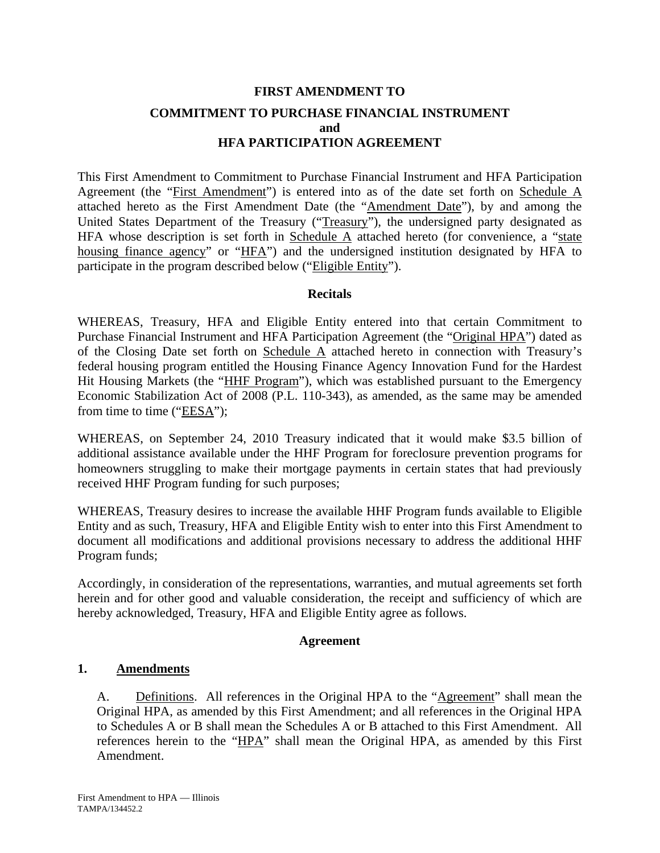# **FIRST AMENDMENT TO COMMITMENT TO PURCHASE FINANCIAL INSTRUMENT and HFA PARTICIPATION AGREEMENT**

This First Amendment to Commitment to Purchase Financial Instrument and HFA Participation Agreement (the "First Amendment") is entered into as of the date set forth on Schedule A attached hereto as the First Amendment Date (the "Amendment Date"), by and among the United States Department of the Treasury ("Treasury"), the undersigned party designated as HFA whose description is set forth in Schedule  $\overline{A}$  attached hereto (for convenience, a "state housing finance agency" or "HFA") and the undersigned institution designated by HFA to participate in the program described below ("Eligible Entity").

### **Recitals**

WHEREAS, Treasury, HFA and Eligible Entity entered into that certain Commitment to Purchase Financial Instrument and HFA Participation Agreement (the "Original HPA") dated as of the Closing Date set forth on Schedule A attached hereto in connection with Treasury's federal housing program entitled the Housing Finance Agency Innovation Fund for the Hardest Hit Housing Markets (the "HHF Program"), which was established pursuant to the Emergency Economic Stabilization Act of 2008 (P.L. 110-343), as amended, as the same may be amended from time to time ("EESA");

WHEREAS, on September 24, 2010 Treasury indicated that it would make \$3.5 billion of additional assistance available under the HHF Program for foreclosure prevention programs for homeowners struggling to make their mortgage payments in certain states that had previously received HHF Program funding for such purposes;

WHEREAS, Treasury desires to increase the available HHF Program funds available to Eligible Entity and as such, Treasury, HFA and Eligible Entity wish to enter into this First Amendment to document all modifications and additional provisions necessary to address the additional HHF Program funds;

Accordingly, in consideration of the representations, warranties, and mutual agreements set forth herein and for other good and valuable consideration, the receipt and sufficiency of which are hereby acknowledged, Treasury, HFA and Eligible Entity agree as follows.

### **Agreement**

## **1. Amendments**

A. Definitions. All references in the Original HPA to the "Agreement" shall mean the Original HPA, as amended by this First Amendment; and all references in the Original HPA to Schedules A or B shall mean the Schedules A or B attached to this First Amendment. All references herein to the "HPA" shall mean the Original HPA, as amended by this First Amendment.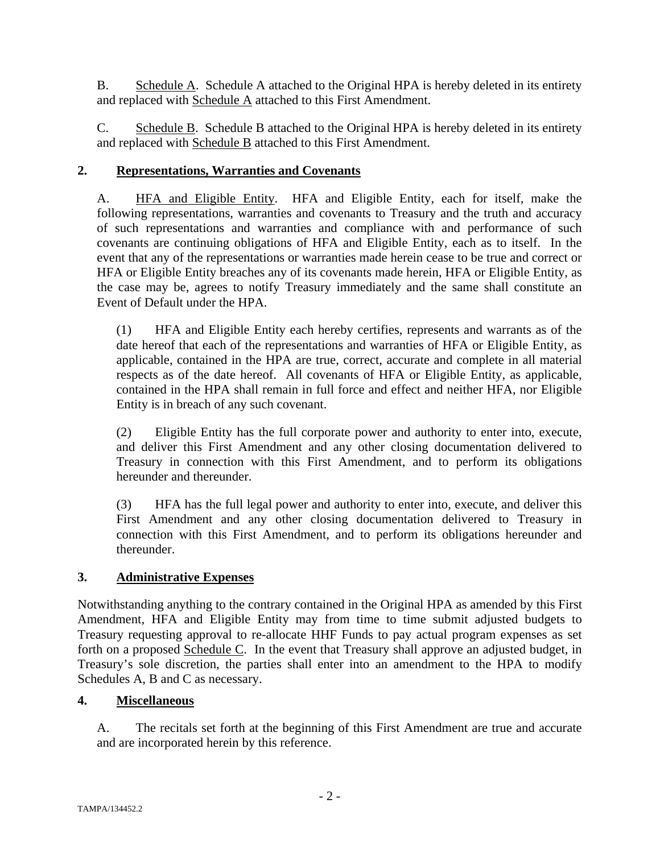B. Schedule A. Schedule A attached to the Original HPA is hereby deleted in its entirety and replaced with Schedule A attached to this First Amendment.

C. Schedule B. Schedule B attached to the Original HPA is hereby deleted in its entirety and replaced with **Schedule B** attached to this First Amendment.

## **2. Representations, Warranties and Covenants**

A. HFA and Eligible Entity. HFA and Eligible Entity, each for itself, make the following representations, warranties and covenants to Treasury and the truth and accuracy of such representations and warranties and compliance with and performance of such covenants are continuing obligations of HFA and Eligible Entity, each as to itself. In the event that any of the representations or warranties made herein cease to be true and correct or HFA or Eligible Entity breaches any of its covenants made herein, HFA or Eligible Entity, as the case may be, agrees to notify Treasury immediately and the same shall constitute an Event of Default under the HPA.

(1) HFA and Eligible Entity each hereby certifies, represents and warrants as of the date hereof that each of the representations and warranties of HFA or Eligible Entity, as applicable, contained in the HPA are true, correct, accurate and complete in all material respects as of the date hereof. All covenants of HFA or Eligible Entity, as applicable, contained in the HPA shall remain in full force and effect and neither HFA, nor Eligible Entity is in breach of any such covenant.

(2) Eligible Entity has the full corporate power and authority to enter into, execute, and deliver this First Amendment and any other closing documentation delivered to Treasury in connection with this First Amendment, and to perform its obligations hereunder and thereunder.

(3) HFA has the full legal power and authority to enter into, execute, and deliver this First Amendment and any other closing documentation delivered to Treasury in connection with this First Amendment, and to perform its obligations hereunder and thereunder.

## **3. Administrative Expenses**

Notwithstanding anything to the contrary contained in the Original HPA as amended by this First Amendment, HFA and Eligible Entity may from time to time submit adjusted budgets to Treasury requesting approval to re-allocate HHF Funds to pay actual program expenses as set forth on a proposed Schedule C. In the event that Treasury shall approve an adjusted budget, in Treasury's sole discretion, the parties shall enter into an amendment to the HPA to modify Schedules A, B and C as necessary.

### **4. Miscellaneous**

A. The recitals set forth at the beginning of this First Amendment are true and accurate and are incorporated herein by this reference.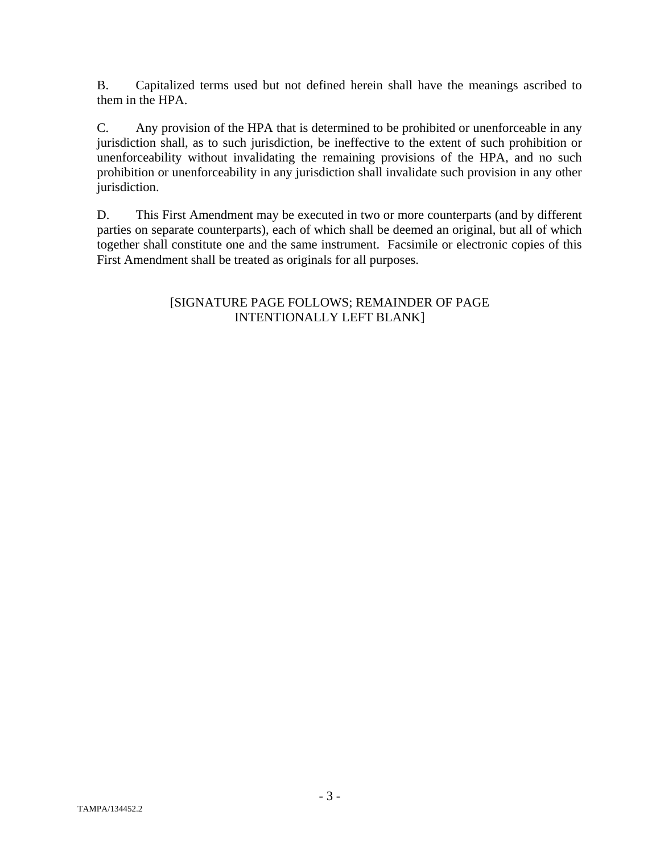B. Capitalized terms used but not defined herein shall have the meanings ascribed to them in the HPA.

C. Any provision of the HPA that is determined to be prohibited or unenforceable in any jurisdiction shall, as to such jurisdiction, be ineffective to the extent of such prohibition or unenforceability without invalidating the remaining provisions of the HPA, and no such prohibition or unenforceability in any jurisdiction shall invalidate such provision in any other jurisdiction.

D. This First Amendment may be executed in two or more counterparts (and by different parties on separate counterparts), each of which shall be deemed an original, but all of which together shall constitute one and the same instrument. Facsimile or electronic copies of this First Amendment shall be treated as originals for all purposes.

## [SIGNATURE PAGE FOLLOWS; REMAINDER OF PAGE INTENTIONALLY LEFT BLANK]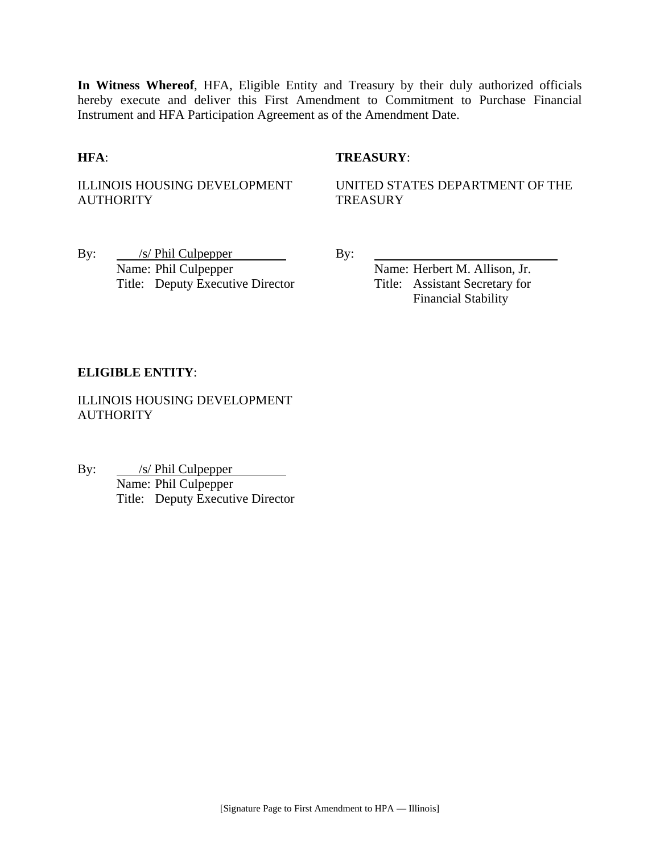**In Witness Whereof**, HFA, Eligible Entity and Treasury by their duly authorized officials hereby execute and deliver this First Amendment to Commitment to Purchase Financial Instrument and HFA Participation Agreement as of the Amendment Date.

### **HFA**: **TREASURY**:

ILLINOIS HOUSING DEVELOPMENT **AUTHORITY** 

UNITED STATES DEPARTMENT OF THE **TREASURY** 

By: <u>/s/ Phil Culpepper</u> By: Name: Phil Culpepper Name: Herbert M. Allison, Jr. Title: Deputy Executive Director Title: Assistant Secretary for

Financial Stability

### **ELIGIBLE ENTITY**:

ILLINOIS HOUSING DEVELOPMENT **AUTHORITY** 

By: <u>/s/ Phil Culpepper</u> *S*/ Phil Culpepper<br>Name: Phil Culpepper Title: Deputy Executive Director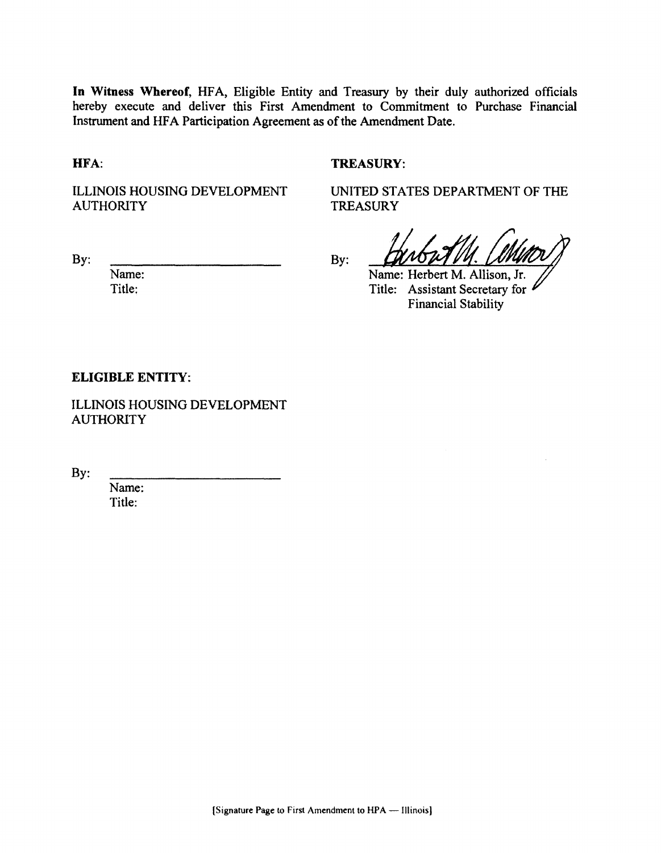In Witness Whereof, HFA, Eligible Entity and Treasury by their duly authorized officials hereby execute and deliver this First Amendment to Commitment to Purchase Financial Instrument and HFA Participation Agreement as of the Amendment Date.

HFA:

#### **TREASURY:**

**TREASURY** 

**ILLINOIS HOUSING DEVELOPMENT AUTHORITY** 

By:

UNITED STATES DEPARTMENT OF THE

By:

Name: Title:

Name: Herbert M. Allison, Jr. Title: Assistant Secretary for **Financial Stability** 

#### **ELIGIBLE ENTITY:**

**ILLINOIS HOUSING DEVELOPMENT AUTHORITY** 

By:

Name: Title: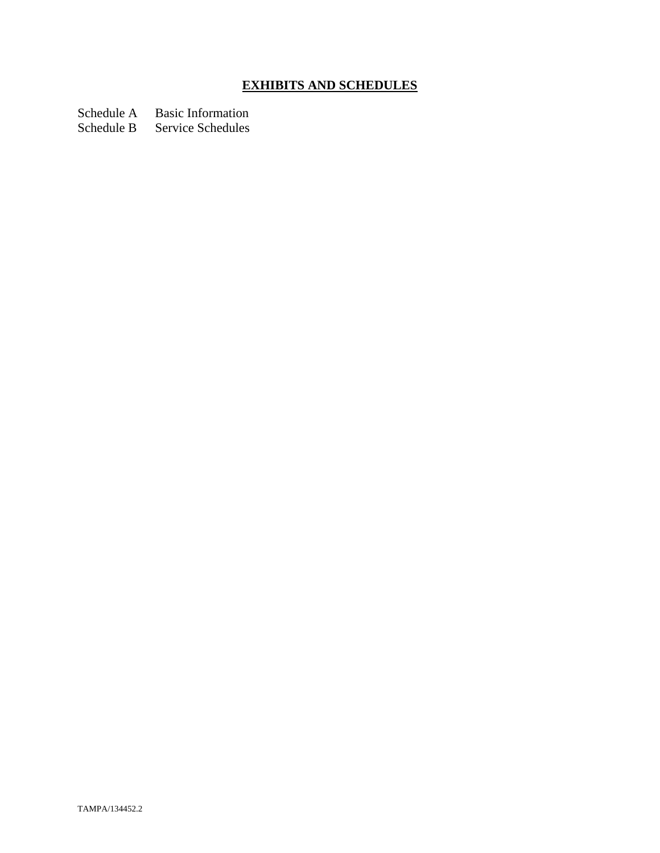# **EXHIBITS AND SCHEDULES**

Schedule A Basic Information

Schedule B Service Schedules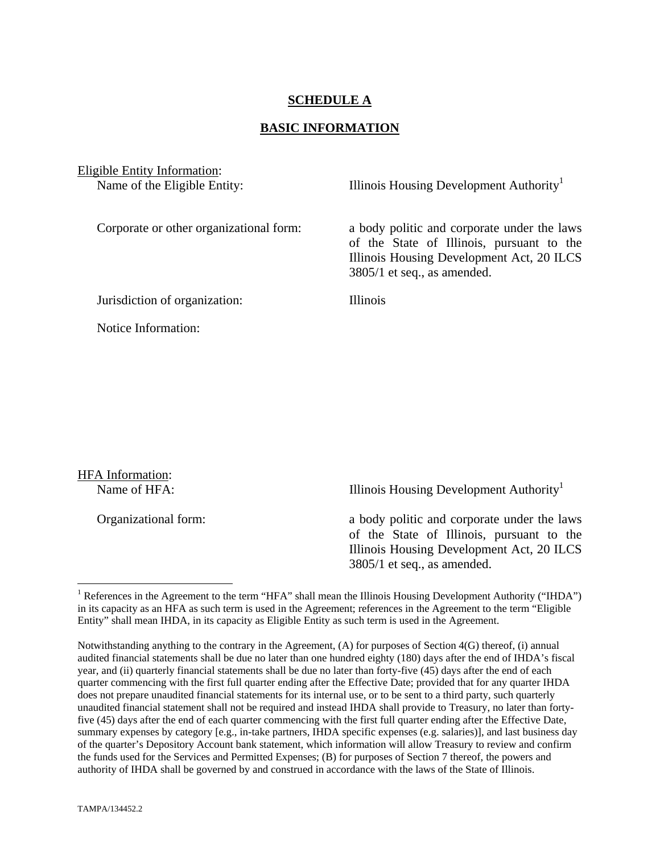## **SCHEDULE A**

#### **BASIC INFORMATION**

Eligible Entity Information:

Name of the Eligible Entity: Illinois Housing Development Authority<sup>1</sup>

Corporate or other organizational form: a body politic and corporate under the laws of the State of Illinois, pursuant to the Illinois Housing Development Act, 20 ILCS 3805/1 et seq., as amended.

Jurisdiction of organization: Illinois

Notice Information:

HFA Information:

 $\overline{a}$ 

Name of HFA: Illinois Housing Development Authority<sup>1</sup>

Organizational form: a body politic and corporate under the laws of the State of Illinois, pursuant to the Illinois Housing Development Act, 20 ILCS 3805/1 et seq., as amended.

<sup>&</sup>lt;sup>1</sup> References in the Agreement to the term "HFA" shall mean the Illinois Housing Development Authority ("IHDA") in its capacity as an HFA as such term is used in the Agreement; references in the Agreement to the term "Eligible Entity" shall mean IHDA, in its capacity as Eligible Entity as such term is used in the Agreement.

Notwithstanding anything to the contrary in the Agreement, (A) for purposes of Section 4(G) thereof, (i) annual audited financial statements shall be due no later than one hundred eighty (180) days after the end of IHDA's fiscal year, and (ii) quarterly financial statements shall be due no later than forty-five (45) days after the end of each quarter commencing with the first full quarter ending after the Effective Date; provided that for any quarter IHDA does not prepare unaudited financial statements for its internal use, or to be sent to a third party, such quarterly unaudited financial statement shall not be required and instead IHDA shall provide to Treasury, no later than fortyfive (45) days after the end of each quarter commencing with the first full quarter ending after the Effective Date, summary expenses by category [e.g., in-take partners, IHDA specific expenses (e.g. salaries)], and last business day of the quarter's Depository Account bank statement, which information will allow Treasury to review and confirm the funds used for the Services and Permitted Expenses; (B) for purposes of Section 7 thereof, the powers and authority of IHDA shall be governed by and construed in accordance with the laws of the State of Illinois.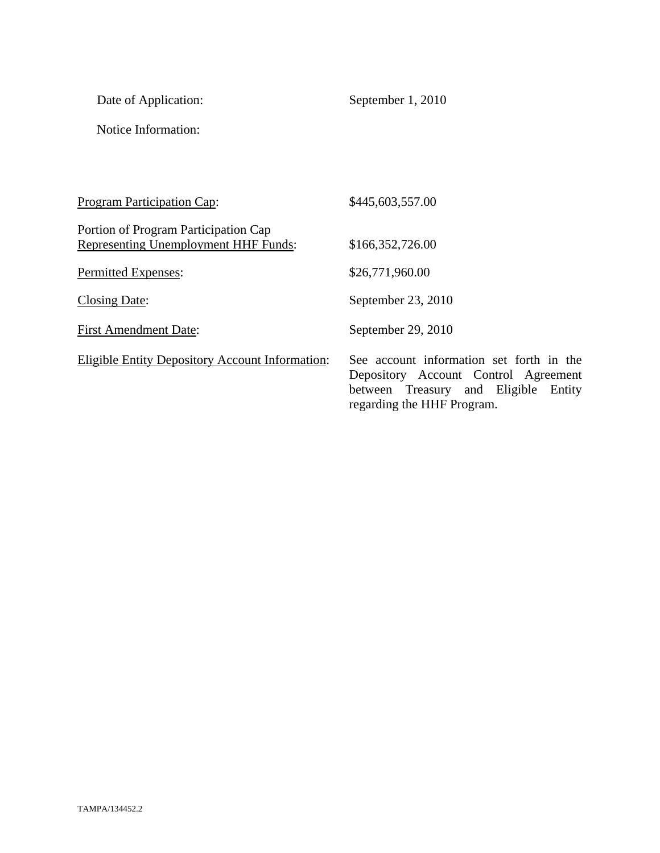| Date of Application: |
|----------------------|
|----------------------|

September 1, 2010

Notice Information:

| Program Participation Cap:                                                   | \$445,603,557.00                                                                                                                                          |
|------------------------------------------------------------------------------|-----------------------------------------------------------------------------------------------------------------------------------------------------------|
| Portion of Program Participation Cap<br>Representing Unemployment HHF Funds: | \$166,352,726.00                                                                                                                                          |
| Permitted Expenses:                                                          | \$26,771,960.00                                                                                                                                           |
| <b>Closing Date:</b>                                                         | September 23, 2010                                                                                                                                        |
| <b>First Amendment Date:</b>                                                 | September 29, 2010                                                                                                                                        |
| Eligible Entity Depository Account Information:                              | See account information set forth in the<br>Depository Account Control Agreement<br>between Treasury and Eligible<br>Entity<br>regarding the HHF Program. |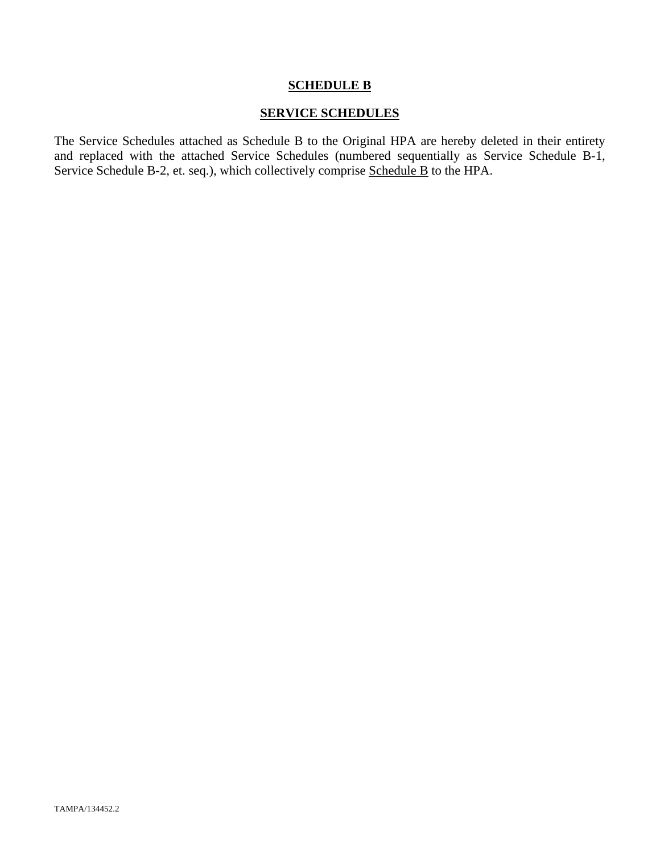#### **SCHEDULE B**

## **SERVICE SCHEDULES**

The Service Schedules attached as Schedule B to the Original HPA are hereby deleted in their entirety and replaced with the attached Service Schedules (numbered sequentially as Service Schedule B-1, Service Schedule B-2, et. seq.), which collectively comprise Schedule B to the HPA.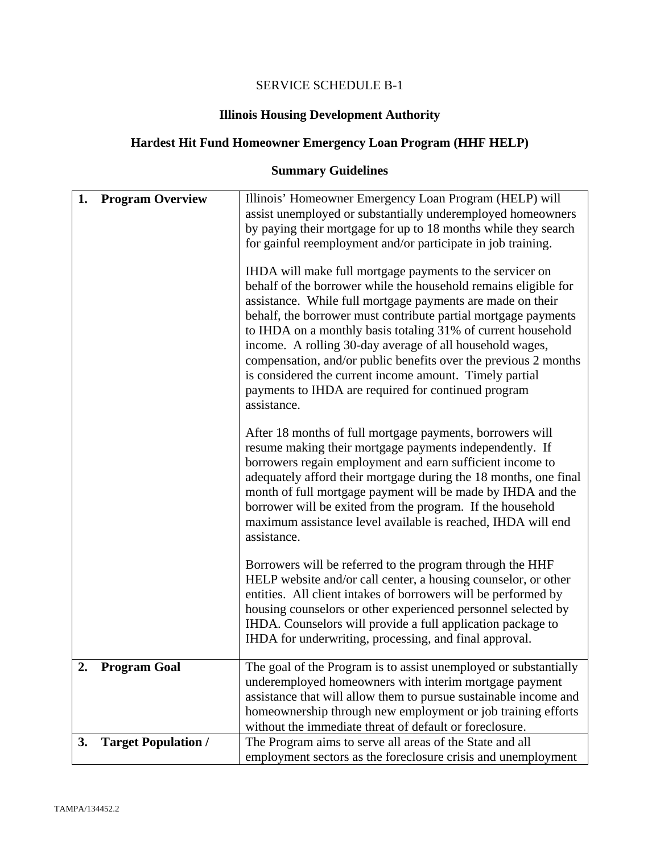# SERVICE SCHEDULE B-1

# **Illinois Housing Development Authority**

# **Hardest Hit Fund Homeowner Emergency Loan Program (HHF HELP)**

# **Summary Guidelines**

| 1. | <b>Program Overview</b>    | Illinois' Homeowner Emergency Loan Program (HELP) will<br>assist unemployed or substantially underemployed homeowners<br>by paying their mortgage for up to 18 months while they search<br>for gainful reemployment and/or participate in job training.<br>IHDA will make full mortgage payments to the servicer on<br>behalf of the borrower while the household remains eligible for<br>assistance. While full mortgage payments are made on their<br>behalf, the borrower must contribute partial mortgage payments<br>to IHDA on a monthly basis totaling 31% of current household<br>income. A rolling 30-day average of all household wages,<br>compensation, and/or public benefits over the previous 2 months<br>is considered the current income amount. Timely partial<br>payments to IHDA are required for continued program<br>assistance. |
|----|----------------------------|--------------------------------------------------------------------------------------------------------------------------------------------------------------------------------------------------------------------------------------------------------------------------------------------------------------------------------------------------------------------------------------------------------------------------------------------------------------------------------------------------------------------------------------------------------------------------------------------------------------------------------------------------------------------------------------------------------------------------------------------------------------------------------------------------------------------------------------------------------|
|    |                            | After 18 months of full mortgage payments, borrowers will<br>resume making their mortgage payments independently. If<br>borrowers regain employment and earn sufficient income to<br>adequately afford their mortgage during the 18 months, one final<br>month of full mortgage payment will be made by IHDA and the<br>borrower will be exited from the program. If the household<br>maximum assistance level available is reached, IHDA will end<br>assistance.                                                                                                                                                                                                                                                                                                                                                                                      |
|    |                            | Borrowers will be referred to the program through the HHF<br>HELP website and/or call center, a housing counselor, or other<br>entities. All client intakes of borrowers will be performed by<br>housing counselors or other experienced personnel selected by<br>IHDA. Counselors will provide a full application package to<br>IHDA for underwriting, processing, and final approval.                                                                                                                                                                                                                                                                                                                                                                                                                                                                |
| 2. | <b>Program Goal</b>        | The goal of the Program is to assist unemployed or substantially<br>underemployed homeowners with interim mortgage payment<br>assistance that will allow them to pursue sustainable income and<br>homeownership through new employment or job training efforts<br>without the immediate threat of default or foreclosure.                                                                                                                                                                                                                                                                                                                                                                                                                                                                                                                              |
| 3. | <b>Target Population /</b> | The Program aims to serve all areas of the State and all<br>employment sectors as the foreclosure crisis and unemployment                                                                                                                                                                                                                                                                                                                                                                                                                                                                                                                                                                                                                                                                                                                              |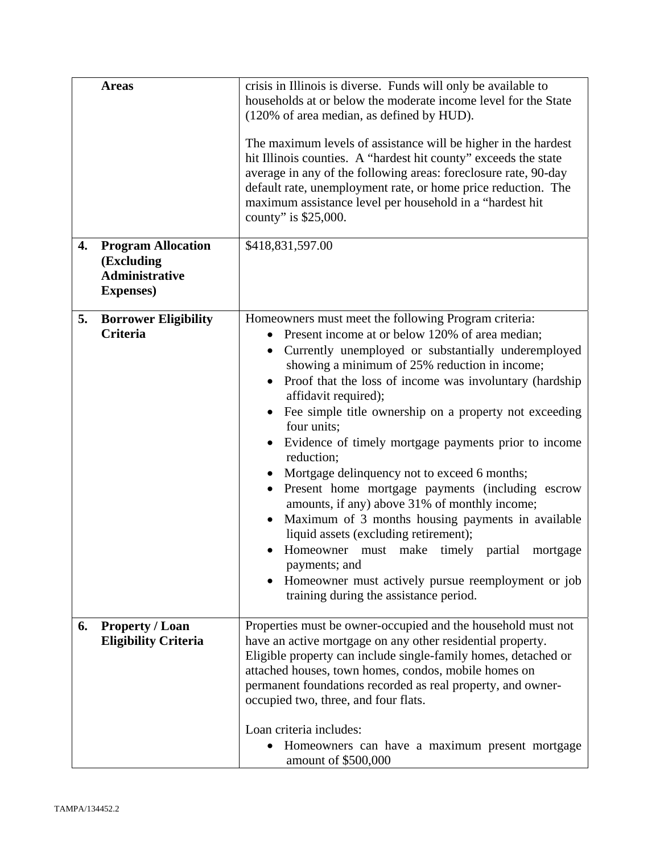|    | <b>Areas</b>                                                                          | crisis in Illinois is diverse. Funds will only be available to<br>households at or below the moderate income level for the State<br>(120% of area median, as defined by HUD).<br>The maximum levels of assistance will be higher in the hardest<br>hit Illinois counties. A "hardest hit county" exceeds the state<br>average in any of the following areas: foreclosure rate, 90-day<br>default rate, unemployment rate, or home price reduction. The<br>maximum assistance level per household in a "hardest hit<br>county" is \$25,000.                                                                                                                                                                                                                                                                                                                                           |
|----|---------------------------------------------------------------------------------------|--------------------------------------------------------------------------------------------------------------------------------------------------------------------------------------------------------------------------------------------------------------------------------------------------------------------------------------------------------------------------------------------------------------------------------------------------------------------------------------------------------------------------------------------------------------------------------------------------------------------------------------------------------------------------------------------------------------------------------------------------------------------------------------------------------------------------------------------------------------------------------------|
| 4. | <b>Program Allocation</b><br>(Excluding<br><b>Administrative</b><br><b>Expenses</b> ) | \$418,831,597.00                                                                                                                                                                                                                                                                                                                                                                                                                                                                                                                                                                                                                                                                                                                                                                                                                                                                     |
| 5. | <b>Borrower Eligibility</b><br><b>Criteria</b>                                        | Homeowners must meet the following Program criteria:<br>Present income at or below 120% of area median;<br>Currently unemployed or substantially underemployed<br>$\bullet$<br>showing a minimum of 25% reduction in income;<br>Proof that the loss of income was involuntary (hardship<br>affidavit required);<br>Fee simple title ownership on a property not exceeding<br>four units;<br>Evidence of timely mortgage payments prior to income<br>reduction;<br>Mortgage delinquency not to exceed 6 months;<br>Present home mortgage payments (including escrow<br>amounts, if any) above 31% of monthly income;<br>Maximum of 3 months housing payments in available<br>liquid assets (excluding retirement);<br>Homeowner must make timely partial<br>mortgage<br>payments; and<br>Homeowner must actively pursue reemployment or job<br>training during the assistance period. |
| 6. | <b>Property / Loan</b><br><b>Eligibility Criteria</b>                                 | Properties must be owner-occupied and the household must not<br>have an active mortgage on any other residential property.<br>Eligible property can include single-family homes, detached or<br>attached houses, town homes, condos, mobile homes on<br>permanent foundations recorded as real property, and owner-<br>occupied two, three, and four flats.<br>Loan criteria includes:                                                                                                                                                                                                                                                                                                                                                                                                                                                                                               |
|    |                                                                                       | Homeowners can have a maximum present mortgage<br>amount of \$500,000                                                                                                                                                                                                                                                                                                                                                                                                                                                                                                                                                                                                                                                                                                                                                                                                                |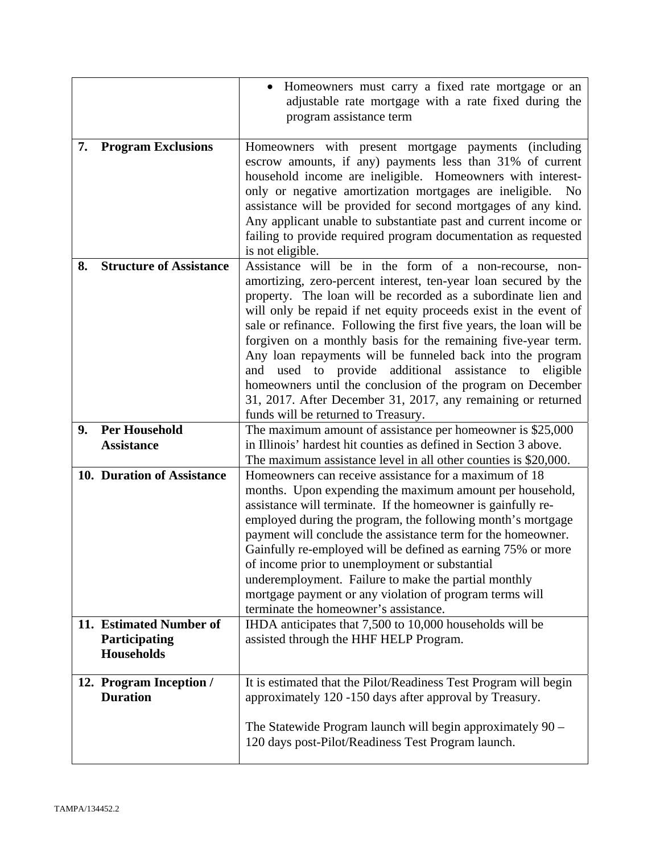|    |                                                               | Homeowners must carry a fixed rate mortgage or an<br>adjustable rate mortgage with a rate fixed during the<br>program assistance term                                                                                                                                                                                                                                                                                                                                                                                                                                                                                                                                                              |
|----|---------------------------------------------------------------|----------------------------------------------------------------------------------------------------------------------------------------------------------------------------------------------------------------------------------------------------------------------------------------------------------------------------------------------------------------------------------------------------------------------------------------------------------------------------------------------------------------------------------------------------------------------------------------------------------------------------------------------------------------------------------------------------|
| 7. | <b>Program Exclusions</b>                                     | Homeowners with present mortgage payments (including<br>escrow amounts, if any) payments less than 31% of current<br>household income are ineligible. Homeowners with interest-<br>only or negative amortization mortgages are ineligible.<br>N <sub>0</sub><br>assistance will be provided for second mortgages of any kind.<br>Any applicant unable to substantiate past and current income or<br>failing to provide required program documentation as requested<br>is not eligible.                                                                                                                                                                                                             |
| 8. | <b>Structure of Assistance</b>                                | Assistance will be in the form of a non-recourse, non-<br>amortizing, zero-percent interest, ten-year loan secured by the<br>property. The loan will be recorded as a subordinate lien and<br>will only be repaid if net equity proceeds exist in the event of<br>sale or refinance. Following the first five years, the loan will be<br>forgiven on a monthly basis for the remaining five-year term.<br>Any loan repayments will be funneled back into the program<br>and used to provide additional assistance to eligible<br>homeowners until the conclusion of the program on December<br>31, 2017. After December 31, 2017, any remaining or returned<br>funds will be returned to Treasury. |
| 9. | <b>Per Household</b><br><b>Assistance</b>                     | The maximum amount of assistance per homeowner is \$25,000<br>in Illinois' hardest hit counties as defined in Section 3 above.<br>The maximum assistance level in all other counties is \$20,000.                                                                                                                                                                                                                                                                                                                                                                                                                                                                                                  |
|    | 10. Duration of Assistance                                    | Homeowners can receive assistance for a maximum of 18<br>months. Upon expending the maximum amount per household,<br>assistance will terminate. If the homeowner is gainfully re-<br>employed during the program, the following month's mortgage<br>payment will conclude the assistance term for the homeowner.<br>Gainfully re-employed will be defined as earning 75% or more<br>of income prior to unemployment or substantial<br>underemployment. Failure to make the partial monthly<br>mortgage payment or any violation of program terms will<br>terminate the homeowner's assistance.                                                                                                     |
|    | 11. Estimated Number of<br>Participating<br><b>Households</b> | IHDA anticipates that 7,500 to 10,000 households will be<br>assisted through the HHF HELP Program.                                                                                                                                                                                                                                                                                                                                                                                                                                                                                                                                                                                                 |
|    | 12. Program Inception /<br><b>Duration</b>                    | It is estimated that the Pilot/Readiness Test Program will begin<br>approximately 120 -150 days after approval by Treasury.<br>The Statewide Program launch will begin approximately $90 -$<br>120 days post-Pilot/Readiness Test Program launch.                                                                                                                                                                                                                                                                                                                                                                                                                                                  |